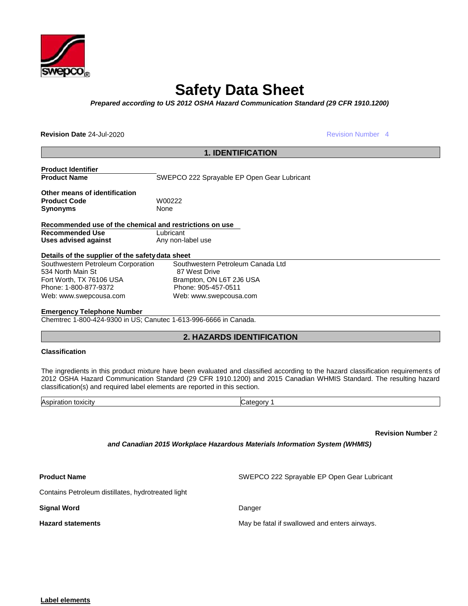

# **Safety Data Sheet**

*Prepared according to US 2012 OSHA Hazard Communication Standard (29 CFR 1910.1200)*

**Revision Date** 24-Jul-2020

Revision Number 4

| <b>1. IDENTIFICATION</b>                                                                                                                    |                                                    |  |  |  |  |
|---------------------------------------------------------------------------------------------------------------------------------------------|----------------------------------------------------|--|--|--|--|
| <b>Product Identifier</b>                                                                                                                   |                                                    |  |  |  |  |
| <b>Product Name</b>                                                                                                                         | SWEPCO 222 Sprayable EP Open Gear Lubricant        |  |  |  |  |
| Other means of identification                                                                                                               |                                                    |  |  |  |  |
| <b>Product Code</b>                                                                                                                         | W00222                                             |  |  |  |  |
| <b>Synonyms</b>                                                                                                                             | None                                               |  |  |  |  |
| Recommended use of the chemical and restrictions on use<br><b>Recommended Use</b><br>Lubricant<br>Uses advised against<br>Any non-label use |                                                    |  |  |  |  |
| Details of the supplier of the safety data sheet                                                                                            |                                                    |  |  |  |  |
| Southwestern Petroleum Corporation<br>534 North Main St                                                                                     | Southwestern Petroleum Canada Ltd<br>87 West Drive |  |  |  |  |
| Fort Worth, TX 76106 USA                                                                                                                    | Brampton, ON L6T 2J6 USA                           |  |  |  |  |
| Phone: 1-800-877-9372                                                                                                                       | Phone: 905-457-0511                                |  |  |  |  |
| Web: www.swepcousa.com                                                                                                                      | Web: www.swepcousa.com                             |  |  |  |  |
| Forescence Telephane Number                                                                                                                 |                                                    |  |  |  |  |

#### **Emergency Telephone Number**

Chemtrec 1-800-424-9300 in US; Canutec 1-613-996-6666 in Canada.

# **2. HAZARDS IDENTIFICATION**

#### **Classification**

The ingredients in this product mixture have been evaluated and classified according to the hazard classification requirements of 2012 OSHA Hazard Communication Standard (29 CFR 1910.1200) and 2015 Canadian WHMIS Standard. The resulting hazard classification(s) and required label elements are reported in this section.

| $\Lambda$ or<br>.<br>,,,,,,,<br>-<br>-11 | . |
|------------------------------------------|---|
|                                          |   |

**Revision Number** 2

*and Canadian 2015 Workplace Hazardous Materials Information System (WHMIS)*

**Product Name SWEPCO 222 Sprayable EP Open Gear Lubricant** 

Contains Petroleum distillates, hydrotreated light

**Signal Word** Danger

**Hazard statements** May be fatal if swallowed and enters airways.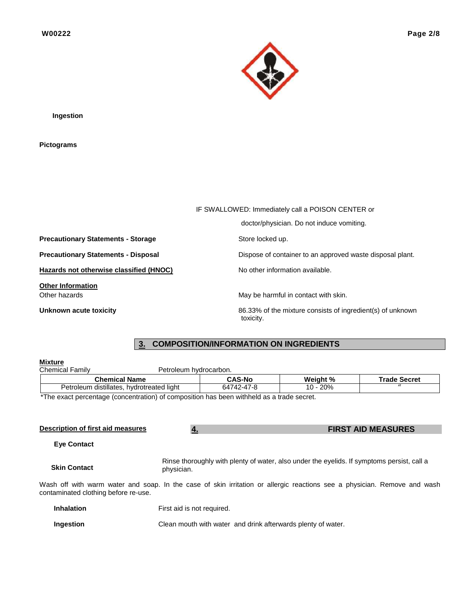

**Ingestion**

**Pictograms**

|                                            | IF SWALLOWED: Immediately call a POISON CENTER or          |  |  |  |  |  |
|--------------------------------------------|------------------------------------------------------------|--|--|--|--|--|
|                                            | doctor/physician. Do not induce vomiting.                  |  |  |  |  |  |
| <b>Precautionary Statements - Storage</b>  | Store locked up.                                           |  |  |  |  |  |
| <b>Precautionary Statements - Disposal</b> | Dispose of container to an approved waste disposal plant.  |  |  |  |  |  |
| Hazards not otherwise classified (HNOC)    | No other information available.                            |  |  |  |  |  |
| <b>Other Information</b><br>Other hazards  | May be harmful in contact with skin.                       |  |  |  |  |  |
| Unknown acute toxicity                     | 86.33% of the mixture consists of ingredient(s) of unknown |  |  |  |  |  |

# **3. COMPOSITION/INFORMATION ON INGREDIENTS**

toxicity.

| <b>Mixture</b>                            |                        |               |          |                     |
|-------------------------------------------|------------------------|---------------|----------|---------------------|
| <b>Chemical Family</b>                    | Petroleum hydrocarbon. |               |          |                     |
|                                           | <b>Chemical Name</b>   | <b>CAS-No</b> | Weight % | <b>Trade Secret</b> |
| Petroleum distillates, hydrotreated light |                        | 64742-47-8    | 10 - 20% |                     |
|                                           |                        |               |          |                     |

\*The exact percentage (concentration) of composition has been withheld as a trade secret.

| Description of first aid measures    | <b>FIRST AID MEASURES</b><br>4.                                                                          |                                                                                                                          |  |  |  |  |  |
|--------------------------------------|----------------------------------------------------------------------------------------------------------|--------------------------------------------------------------------------------------------------------------------------|--|--|--|--|--|
| <b>Eye Contact</b>                   |                                                                                                          |                                                                                                                          |  |  |  |  |  |
| <b>Skin Contact</b>                  | Rinse thoroughly with plenty of water, also under the eyelids. If symptoms persist, call a<br>physician. |                                                                                                                          |  |  |  |  |  |
| contaminated clothing before re-use. |                                                                                                          | Wash off with warm water and soap. In the case of skin irritation or allergic reactions see a physician. Remove and wash |  |  |  |  |  |
| <b>Inhalation</b>                    | First aid is not required.                                                                               |                                                                                                                          |  |  |  |  |  |
| Ingestion                            |                                                                                                          | Clean mouth with water and drink afterwards plenty of water.                                                             |  |  |  |  |  |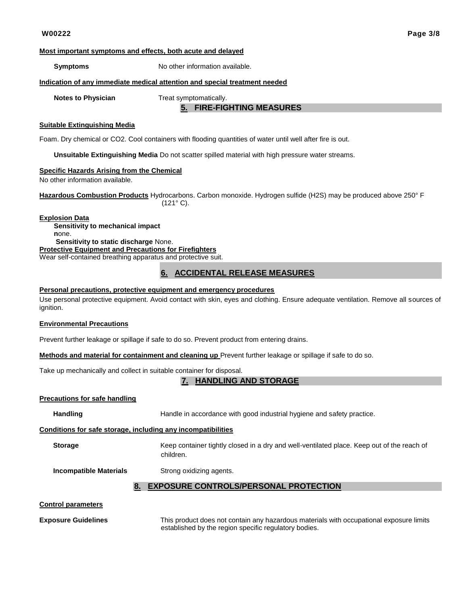#### **Most important symptoms and effects, both acute and delayed**

**Symptoms** No other information available.

#### **Indication of any immediate medical attention and special treatment needed**

**Notes to Physician Treat symptomatically.** 

### **5. FIRE-FIGHTING MEASURES**

#### **Suitable Extinguishing Media**

Foam. Dry chemical or CO2. Cool containers with flooding quantities of water until well after fire is out.

**Unsuitable Extinguishing Media** Do not scatter spilled material with high pressure water streams.

#### **Specific Hazards Arising from the Chemical**

No other information available.

**Hazardous Combustion Products** Hydrocarbons. Carbon monoxide. Hydrogen sulfide (H2S) may be produced above 250° F  $(121° C).$ 

**Explosion Data Sensitivity to mechanical impact n**one. **Sensitivity to static discharge** None. **Protective Equipment and Precautions for Firefighters** Wear self-contained breathing apparatus and protective suit.

#### **6. ACCIDENTAL RELEASE MEASURES**

#### **Personal precautions, protective equipment and emergency procedures**

Use personal protective equipment. Avoid contact with skin, eyes and clothing. Ensure adequate ventilation. Remove all sources of ignition.

#### **Environmental Precautions**

Prevent further leakage or spillage if safe to do so. Prevent product from entering drains.

**Methods and material for containment and cleaning up** Prevent further leakage or spillage if safe to do so.

Take up mechanically and collect in suitable container for disposal.

#### **7. HANDLING AND STORAGE**

#### **Precautions for safe handling**

**Handling** Handle in accordance with good industrial hygiene and safety practice.

#### **Conditions for safe storage, including any incompatibilities**

**Storage** Keep container tightly closed in a dry and well-ventilated place. Keep out of the reach of children.

**Incompatible Materials** Strong oxidizing agents.

#### **8. EXPOSURE CONTROLS/PERSONAL PROTECTION**

#### **Control parameters**

**Exposure Guidelines** This product does not contain any hazardous materials with occupational exposure limits established by the region specific regulatory bodies.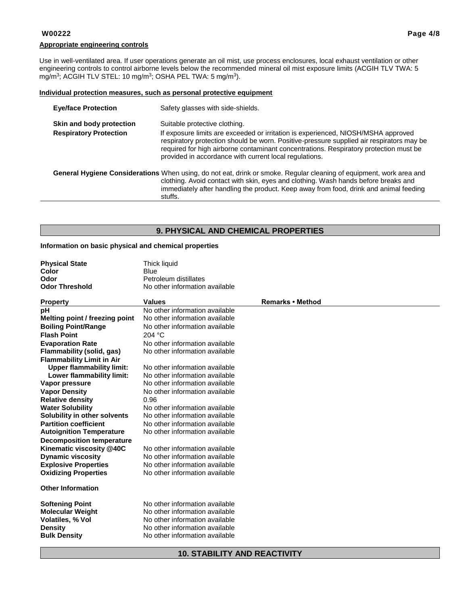#### **Appropriate engineering controls**

Use in well-ventilated area. If user operations generate an oil mist, use process enclosures, local exhaust ventilation or other engineering controls to control airborne levels below the recommended mineral oil mist exposure limits (ACGIH TLV TWA: 5 mg/m<sup>3</sup>; ACGIH TLV STEL: 10 mg/m<sup>3</sup>; OSHA PEL TWA: 5 mg/m<sup>3</sup>).

#### **Individual protection measures, such as personal protective equipment**

| <b>Eye/face Protection</b>                                                                                                                                                                                                                                                                                    | Safety glasses with side-shields.                                                                                                                                                                                                                                                                                                                                 |  |  |  |
|---------------------------------------------------------------------------------------------------------------------------------------------------------------------------------------------------------------------------------------------------------------------------------------------------------------|-------------------------------------------------------------------------------------------------------------------------------------------------------------------------------------------------------------------------------------------------------------------------------------------------------------------------------------------------------------------|--|--|--|
| Skin and body protection<br><b>Respiratory Protection</b>                                                                                                                                                                                                                                                     | Suitable protective clothing.<br>If exposure limits are exceeded or irritation is experienced, NIOSH/MSHA approved<br>respiratory protection should be worn. Positive-pressure supplied air respirators may be<br>required for high airborne contaminant concentrations. Respiratory protection must be<br>provided in accordance with current local regulations. |  |  |  |
| General Hygiene Considerations When using, do not eat, drink or smoke. Regular cleaning of equipment, work area and<br>clothing. Avoid contact with skin, eyes and clothing. Wash hands before breaks and<br>immediately after handling the product. Keep away from food, drink and animal feeding<br>stuffs. |                                                                                                                                                                                                                                                                                                                                                                   |  |  |  |

# **9. PHYSICAL AND CHEMICAL PROPERTIES**

#### **Information on basic physical and chemical properties**

**Physical State** Thick liquid

| Color                            | Blue                           |                  |
|----------------------------------|--------------------------------|------------------|
| Odor                             | Petroleum distillates          |                  |
| <b>Odor Threshold</b>            | No other information available |                  |
| <b>Property</b>                  | <b>Values</b>                  | Remarks • Method |
| рH                               | No other information available |                  |
| Melting point / freezing point   | No other information available |                  |
| <b>Boiling Point/Range</b>       | No other information available |                  |
| <b>Flash Point</b>               | 204 °C                         |                  |
| <b>Evaporation Rate</b>          | No other information available |                  |
| Flammability (solid, gas)        | No other information available |                  |
| <b>Flammability Limit in Air</b> |                                |                  |
| <b>Upper flammability limit:</b> | No other information available |                  |
| Lower flammability limit:        | No other information available |                  |
| Vapor pressure                   | No other information available |                  |
| <b>Vapor Density</b>             | No other information available |                  |
| <b>Relative density</b>          | 0.96                           |                  |
| <b>Water Solubility</b>          | No other information available |                  |
| Solubility in other solvents     | No other information available |                  |
| <b>Partition coefficient</b>     | No other information available |                  |
| <b>Autoignition Temperature</b>  | No other information available |                  |
| <b>Decomposition temperature</b> |                                |                  |
| Kinematic viscosity @40C         | No other information available |                  |
| <b>Dynamic viscosity</b>         | No other information available |                  |
| <b>Explosive Properties</b>      | No other information available |                  |
| <b>Oxidizing Properties</b>      | No other information available |                  |
| <b>Other Information</b>         |                                |                  |
| <b>Softening Point</b>           | No other information available |                  |
| <b>Molecular Weight</b>          | No other information available |                  |
| <b>Volatiles, % Vol</b>          | No other information available |                  |
| <b>Density</b>                   | No other information available |                  |
| <b>Bulk Density</b>              | No other information available |                  |
|                                  |                                |                  |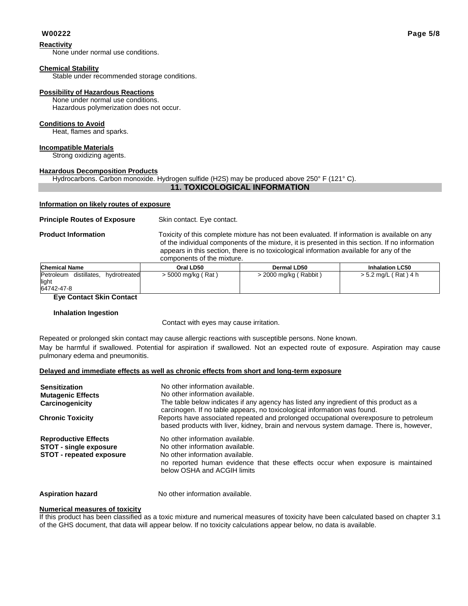#### **Reactivity**

None under normal use conditions.

#### **Chemical Stability**

Stable under recommended storage conditions.

#### **Possibility of Hazardous Reactions**

None under normal use conditions. Hazardous polymerization does not occur.

#### **Conditions to Avoid**

Heat, flames and sparks.

### **Incompatible Materials**

Strong oxidizing agents.

#### **Hazardous Decomposition Products**

Hydrocarbons. Carbon monoxide. Hydrogen sulfide (H2S) may be produced above 250° F (121° C).

#### **11. TOXICOLOGICAL INFORMATION**

#### **Information on likely routes of exposure**

#### **Principle Routes of Exposure** Skin contact. Eye contact.

**Product Information** Toxicity of this complete mixture has not been evaluated. If information is available on any of the individual components of the mixture, it is presented in this section. If no information appears in this section, there is no toxicological information available for any of the components of the mixture.

| <b>Chemical Name</b>                                             | Oral LD50          | <b>Dermal LD50</b>      |                        |  |  |  |  |
|------------------------------------------------------------------|--------------------|-------------------------|------------------------|--|--|--|--|
| Petroleum<br>distillates,<br>hvdrotreated<br>light<br>64742-47-8 | > 5000 mg/kg (Rat) | > 2000 mg/kg ( Rabbit ) | $> 5.2$ mg/L (Rat) 4 h |  |  |  |  |

#### **Eye Contact Skin Contact**

#### **Inhalation Ingestion**

Contact with eyes may cause irritation.

Repeated or prolonged skin contact may cause allergic reactions with susceptible persons. None known. May be harmful if swallowed. Potential for aspiration if swallowed. Not an expected route of exposure. Aspiration may cause pulmonary edema and pneumonitis.

#### **Delayed and immediate effects as well as chronic effects from short and long-term exposure**

| <b>Sensitization</b><br><b>Mutagenic Effects</b><br>Carcinogenicity                             | No other information available.<br>No other information available.<br>The table below indicates if any agency has listed any ingredient of this product as a<br>carcinogen. If no table appears, no toxicological information was found. |
|-------------------------------------------------------------------------------------------------|------------------------------------------------------------------------------------------------------------------------------------------------------------------------------------------------------------------------------------------|
| <b>Chronic Toxicity</b>                                                                         | Reports have associated repeated and prolonged occupational overexposure to petroleum<br>based products with liver, kidney, brain and nervous system damage. There is, however,                                                          |
| <b>Reproductive Effects</b><br><b>STOT - single exposure</b><br><b>STOT - repeated exposure</b> | No other information available.<br>No other information available.<br>No other information available.<br>no reported human evidence that these effects occur when exposure is maintained<br>below OSHA and ACGIH limits                  |

**Aspiration hazard** No other information available.

#### **Numerical measures of toxicity**

If this product has been classified as a toxic mixture and numerical measures of toxicity have been calculated based on chapter 3.1 of the GHS document, that data will appear below. If no toxicity calculations appear below, no data is available.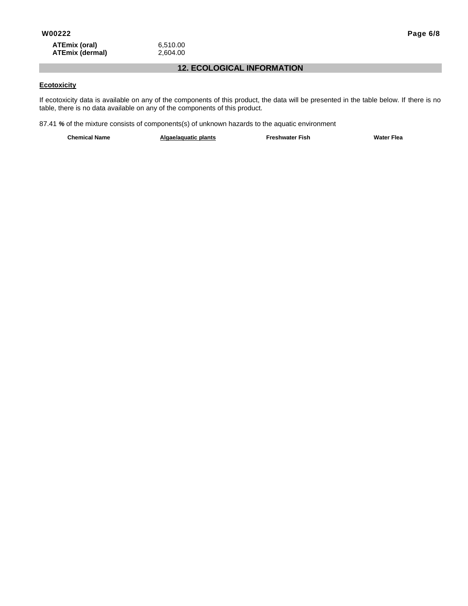### **12. ECOLOGICAL INFORMATION**

### **Ecotoxicity**

If ecotoxicity data is available on any of the components of this product, the data will be presented in the table below. If there is no table, there is no data available on any of the components of this product.

87.41 *%* of the mixture consists of components(s) of unknown hazards to the aquatic environment

**Chemical Name Algae/aquatic plants Freshwater Fish Water Flea**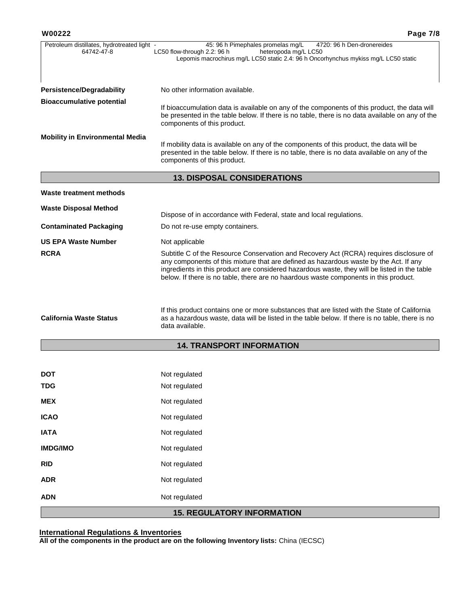| Petroleum distillates, hydrotreated light -<br>64742-47-8 | 45: 96 h Pimephales promelas mg/L<br>4720: 96 h Den-dronereides<br>LC50 flow-through 2.2: 96 h<br>heteropoda mg/L LC50<br>Lepomis macrochirus mg/L LC50 static 2.4: 96 h Oncorhynchus mykiss mg/L LC50 static                                                                                                                                                           |
|-----------------------------------------------------------|-------------------------------------------------------------------------------------------------------------------------------------------------------------------------------------------------------------------------------------------------------------------------------------------------------------------------------------------------------------------------|
| <b>Persistence/Degradability</b>                          | No other information available.                                                                                                                                                                                                                                                                                                                                         |
| <b>Bioaccumulative potential</b>                          | If bioaccumulation data is available on any of the components of this product, the data will<br>be presented in the table below. If there is no table, there is no data available on any of the<br>components of this product.                                                                                                                                          |
| <b>Mobility in Environmental Media</b>                    | If mobility data is available on any of the components of this product, the data will be<br>presented in the table below. If there is no table, there is no data available on any of the<br>components of this product.                                                                                                                                                 |
|                                                           | <b>13. DISPOSAL CONSIDERATIONS</b>                                                                                                                                                                                                                                                                                                                                      |
| Waste treatment methods                                   |                                                                                                                                                                                                                                                                                                                                                                         |
| <b>Waste Disposal Method</b>                              | Dispose of in accordance with Federal, state and local regulations.                                                                                                                                                                                                                                                                                                     |
| <b>Contaminated Packaging</b>                             | Do not re-use empty containers.                                                                                                                                                                                                                                                                                                                                         |
| <b>US EPA Waste Number</b>                                | Not applicable                                                                                                                                                                                                                                                                                                                                                          |
| <b>RCRA</b>                                               | Subtitle C of the Resource Conservation and Recovery Act (RCRA) requires disclosure of<br>any components of this mixture that are defined as hazardous waste by the Act. If any<br>ingredients in this product are considered hazardous waste, they will be listed in the table<br>below. If there is no table, there are no haardous waste components in this product. |
| <b>California Waste Status</b>                            | If this product contains one or more substances that are listed with the State of California<br>as a hazardous waste, data will be listed in the table below. If there is no table, there is no<br>data available.                                                                                                                                                      |
|                                                           | <b>14. TRANSPORT INFORMATION</b>                                                                                                                                                                                                                                                                                                                                        |
|                                                           |                                                                                                                                                                                                                                                                                                                                                                         |
| DOT                                                       | Not regulated                                                                                                                                                                                                                                                                                                                                                           |
| TDG                                                       | Not regulated                                                                                                                                                                                                                                                                                                                                                           |
| <b>MEX</b>                                                | Not regulated                                                                                                                                                                                                                                                                                                                                                           |
| <b>ICAO</b>                                               | Not regulated                                                                                                                                                                                                                                                                                                                                                           |
| <b>IATA</b>                                               | Not regulated                                                                                                                                                                                                                                                                                                                                                           |
| <b>IMDG/IMO</b>                                           | Not regulated                                                                                                                                                                                                                                                                                                                                                           |
| <b>RID</b>                                                | Not regulated                                                                                                                                                                                                                                                                                                                                                           |
| <b>ADR</b>                                                | Not regulated                                                                                                                                                                                                                                                                                                                                                           |
| <b>ADN</b>                                                | Not regulated                                                                                                                                                                                                                                                                                                                                                           |

# **15. REGULATORY INFORMATION**

#### **International Regulations & Inventories**

**All of the components in the product are on the following Inventory lists:** China (IECSC)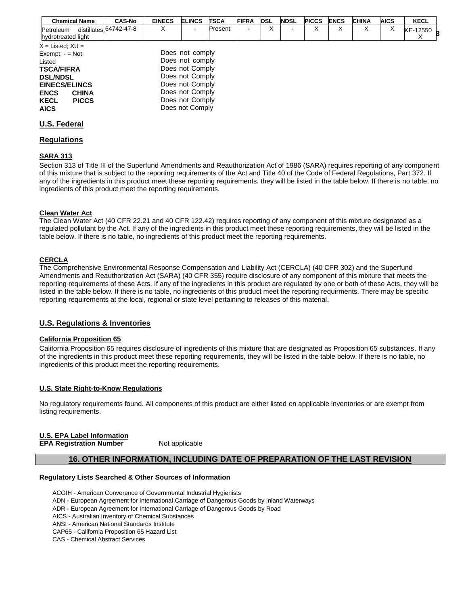| <b>Chemical Name</b>                                                                                                                                                                             | <b>CAS-No</b>                 | <b>EINECS</b> | <b>ELINCS</b>                                                                                                                                        | <b>TSCA</b> | <b>FIFRA</b> | <b>DSL</b> | <b>NDSL</b> | <b>PICCS</b> | <b>ENCS</b> | <b>CHINA</b> | <b>AICS</b> | <b>KECL</b> |  |
|--------------------------------------------------------------------------------------------------------------------------------------------------------------------------------------------------|-------------------------------|---------------|------------------------------------------------------------------------------------------------------------------------------------------------------|-------------|--------------|------------|-------------|--------------|-------------|--------------|-------------|-------------|--|
| Petroleum<br>hydrotreated light                                                                                                                                                                  | distillates, $64742 - 47 - 8$ | x             | ۰.                                                                                                                                                   | Present     |              | х          |             | x            | х           | x            | х           | KE-12550    |  |
| $X =$ Listed; $XU =$<br>Exempt; $-$ = Not<br>Listed<br><b>TSCA/FIFRA</b><br><b>DSL/NDSL</b><br><b>EINECS/ELINCS</b><br><b>ENCS</b><br><b>CHINA</b><br><b>KECL</b><br><b>PICCS</b><br><b>AICS</b> |                               |               | Does not comply<br>Does not comply<br>Does not Comply<br>Does not Comply<br>Does not Comply<br>Does not Comply<br>Does not Comply<br>Does not Comply |             |              |            |             |              |             |              |             |             |  |
| <b>U.S. Federal</b>                                                                                                                                                                              |                               |               |                                                                                                                                                      |             |              |            |             |              |             |              |             |             |  |

### **Regulations**

#### **SARA 313**

Section 313 of Title III of the Superfund Amendments and Reauthorization Act of 1986 (SARA) requires reporting of any component of this mixture that is subject to the reporting requirements of the Act and Title 40 of the Code of Federal Regulations, Part 372. If any of the ingredients in this product meet these reporting requirements, they will be listed in the table below. If there is no table, no ingredients of this product meet the reporting requirements.

#### **Clean Water Act**

The Clean Water Act (40 CFR 22.21 and 40 CFR 122.42) requires reporting of any component of this mixture designated as a regulated pollutant by the Act. If any of the ingredients in this product meet these reporting requirements, they will be listed in the table below. If there is no table, no ingredients of this product meet the reporting requirements.

#### **CERCLA**

The Comprehensive Environmental Response Compensation and Liability Act (CERCLA) (40 CFR 302) and the Superfund Amendments and Reauthorization Act (SARA) (40 CFR 355) require disclosure of any component of this mixture that meets the reporting requirements of these Acts. If any of the ingredients in this product are regulated by one or both of these Acts, they will be listed in the table below. If there is no table, no ingredients of this product meet the reporting requirments. There may be specific reporting requirements at the local, regional or state level pertaining to releases of this material.

#### **U.S. Regulations & Inventories**

#### **California Proposition 65**

California Proposition 65 requires disclosure of ingredients of this mixture that are designated as Proposition 65 substances. If any of the ingredients in this product meet these reporting requirements, they will be listed in the table below. If there is no table, no ingredients of this product meet the reporting requirements.

#### **U.S. State Right-to-Know Regulations**

No regulatory requirements found. All components of this product are either listed on applicable inventories or are exempt from listing requirements.

# **U.S. EPA Label Information**

**EPA Registration Number** Not applicable

#### **16. OTHER INFORMATION, INCLUDING DATE OF PREPARATION OF THE LAST REVISION**

#### **Regulatory Lists Searched & Other Sources of Information**

ACGIH - American Converence of Governmental Industrial Hygienists ADN - European Agreement for International Carriage of Dangerous Goods by Inland Waterways ADR - European Agreement for International Carriage of Dangerous Goods by Road AICS - Australian Inventory of Chemical Substances ANSI - American National Standards Institute CAP65 - California Proposition 65 Hazard List CAS - Chemical Abstract Services